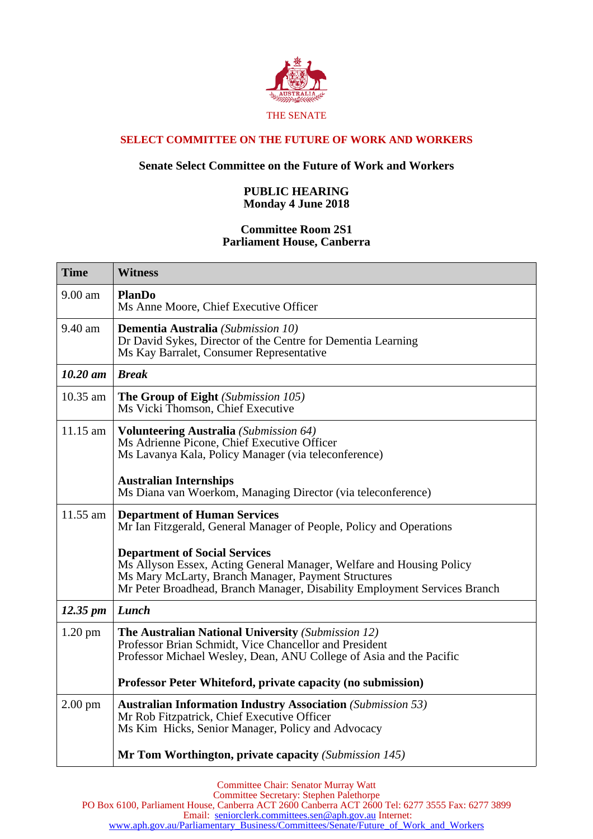

## **SELECT COMMITTEE ON THE FUTURE OF WORK AND WORKERS**

## **Senate Select Committee on the Future of Work and Workers**

## **PUBLIC HEARING Monday 4 June 2018**

## **Committee Room 2S1 Parliament House, Canberra**

| <b>Time</b>          | <b>Witness</b>                                                                                                                                                                                                                                   |
|----------------------|--------------------------------------------------------------------------------------------------------------------------------------------------------------------------------------------------------------------------------------------------|
| 9.00 am              | <b>PlanDo</b><br>Ms Anne Moore, Chief Executive Officer                                                                                                                                                                                          |
| 9.40 am              | <b>Dementia Australia</b> (Submission 10)<br>Dr David Sykes, Director of the Centre for Dementia Learning<br>Ms Kay Barralet, Consumer Representative                                                                                            |
| $10.20$ am           | <b>Break</b>                                                                                                                                                                                                                                     |
| 10.35 am             | The Group of Eight (Submission 105)<br>Ms Vicki Thomson, Chief Executive                                                                                                                                                                         |
| 11.15 am             | <b>Volunteering Australia</b> (Submission 64)<br>Ms Adrienne Picone, Chief Executive Officer<br>Ms Lavanya Kala, Policy Manager (via teleconference)                                                                                             |
|                      | <b>Australian Internships</b><br>Ms Diana van Woerkom, Managing Director (via teleconference)                                                                                                                                                    |
| 11.55 am             | <b>Department of Human Services</b><br>Mr Ian Fitzgerald, General Manager of People, Policy and Operations                                                                                                                                       |
|                      | <b>Department of Social Services</b><br>Ms Allyson Essex, Acting General Manager, Welfare and Housing Policy<br>Ms Mary McLarty, Branch Manager, Payment Structures<br>Mr Peter Broadhead, Branch Manager, Disability Employment Services Branch |
| $12.35 \, \text{pm}$ | Lunch                                                                                                                                                                                                                                            |
| $1.20 \text{ pm}$    | <b>The Australian National University (Submission 12)</b><br>Professor Brian Schmidt, Vice Chancellor and President<br>Professor Michael Wesley, Dean, ANU College of Asia and the Pacific                                                       |
|                      | Professor Peter Whiteford, private capacity (no submission)                                                                                                                                                                                      |
| $2.00$ pm            | <b>Australian Information Industry Association</b> (Submission 53)<br>Mr Rob Fitzpatrick, Chief Executive Officer<br>Ms Kim Hicks, Senior Manager, Policy and Advocacy                                                                           |
|                      | Mr Tom Worthington, private capacity (Submission 145)                                                                                                                                                                                            |